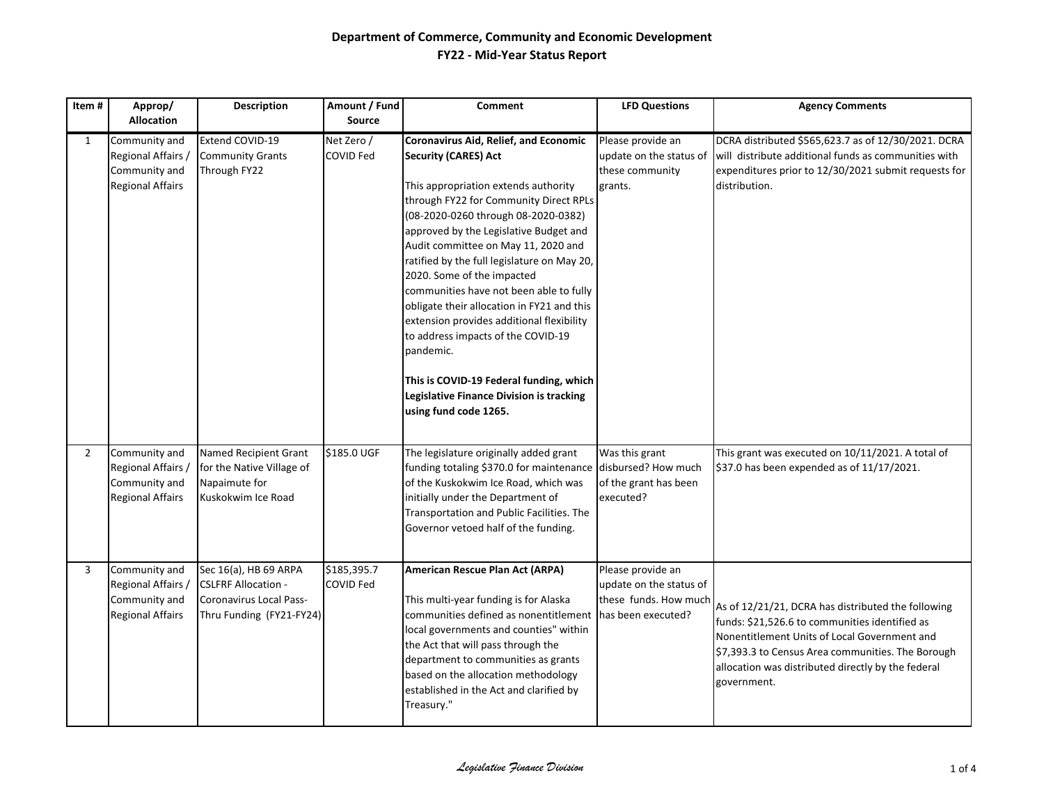| Item#          | Approp/                                                                         | <b>Description</b>                                                                                         | Amount / Fund                  | <b>Comment</b>                                                                                                                                                                                                                                                                                                                                                                                                                                                                                                                                                                                                                                                       | <b>LFD Questions</b>                                                       | <b>Agency Comments</b>                                                                                                                                                                                                                                                         |
|----------------|---------------------------------------------------------------------------------|------------------------------------------------------------------------------------------------------------|--------------------------------|----------------------------------------------------------------------------------------------------------------------------------------------------------------------------------------------------------------------------------------------------------------------------------------------------------------------------------------------------------------------------------------------------------------------------------------------------------------------------------------------------------------------------------------------------------------------------------------------------------------------------------------------------------------------|----------------------------------------------------------------------------|--------------------------------------------------------------------------------------------------------------------------------------------------------------------------------------------------------------------------------------------------------------------------------|
|                | <b>Allocation</b>                                                               |                                                                                                            | <b>Source</b>                  |                                                                                                                                                                                                                                                                                                                                                                                                                                                                                                                                                                                                                                                                      |                                                                            |                                                                                                                                                                                                                                                                                |
| $\mathbf{1}$   | Community and<br>Regional Affairs,<br>Community and<br><b>Regional Affairs</b>  | Extend COVID-19<br><b>Community Grants</b><br>Through FY22                                                 | Net Zero /<br><b>COVID Fed</b> | Coronavirus Aid, Relief, and Economic<br><b>Security (CARES) Act</b><br>This appropriation extends authority<br>through FY22 for Community Direct RPLs<br>(08-2020-0260 through 08-2020-0382)<br>approved by the Legislative Budget and<br>Audit committee on May 11, 2020 and<br>ratified by the full legislature on May 20,<br>2020. Some of the impacted<br>communities have not been able to fully<br>obligate their allocation in FY21 and this<br>extension provides additional flexibility<br>to address impacts of the COVID-19<br>pandemic.<br>This is COVID-19 Federal funding, which<br>Legislative Finance Division is tracking<br>using fund code 1265. | Please provide an<br>update on the status of<br>these community<br>grants. | DCRA distributed \$565,623.7 as of 12/30/2021. DCRA<br>will distribute additional funds as communities with<br>expenditures prior to 12/30/2021 submit requests for<br>distribution.                                                                                           |
| $\overline{2}$ | Community and<br>Regional Affairs /<br>Community and<br><b>Regional Affairs</b> | Named Recipient Grant<br>for the Native Village of<br>Napaimute for<br>Kuskokwim Ice Road                  | \$185.0 UGF                    | The legislature originally added grant<br>funding totaling \$370.0 for maintenance disbursed? How much<br>of the Kuskokwim Ice Road, which was<br>initially under the Department of<br>Transportation and Public Facilities. The<br>Governor vetoed half of the funding.                                                                                                                                                                                                                                                                                                                                                                                             | Was this grant<br>of the grant has been<br>executed?                       | This grant was executed on 10/11/2021. A total of<br>\$37.0 has been expended as of 11/17/2021.                                                                                                                                                                                |
| $\overline{3}$ | Community and<br>Regional Affairs /<br>Community and<br><b>Regional Affairs</b> | Sec 16(a), HB 69 ARPA<br><b>CSLFRF Allocation -</b><br>Coronavirus Local Pass-<br>Thru Funding (FY21-FY24) | \$185,395.7<br>COVID Fed       | American Rescue Plan Act (ARPA)<br>This multi-year funding is for Alaska<br>communities defined as nonentitlement has been executed?<br>local governments and counties" within<br>the Act that will pass through the<br>department to communities as grants<br>based on the allocation methodology<br>established in the Act and clarified by<br>Treasury."                                                                                                                                                                                                                                                                                                          | Please provide an<br>update on the status of<br>these funds. How much      | As of 12/21/21, DCRA has distributed the following<br>funds: \$21,526.6 to communities identified as<br>Nonentitlement Units of Local Government and<br>\$7,393.3 to Census Area communities. The Borough<br>allocation was distributed directly by the federal<br>government. |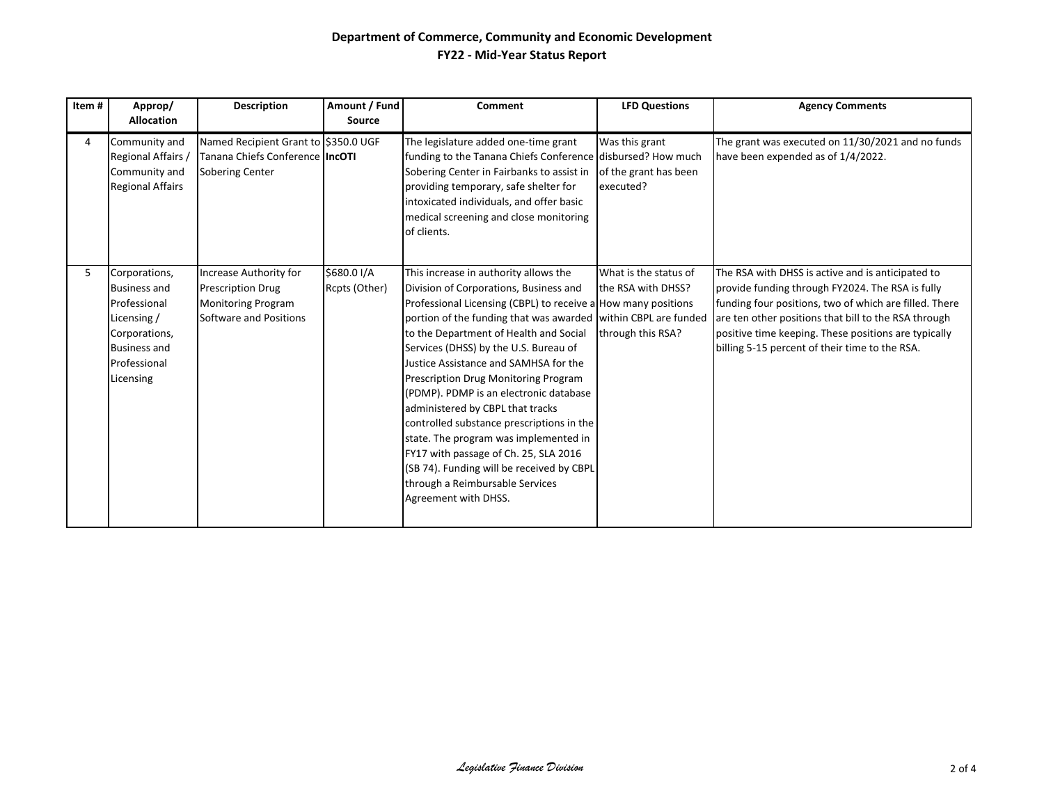| Item# | Approp/                                                                                                                                  | <b>Description</b>                                                                                        | Amount / Fund                | <b>Comment</b>                                                                                                                                                                                                                                                                                                                                                                                                                                                                                                                                                                                                                                                                                              | <b>LFD Questions</b>                                             | <b>Agency Comments</b>                                                                                                                                                                                                                                                                                                            |
|-------|------------------------------------------------------------------------------------------------------------------------------------------|-----------------------------------------------------------------------------------------------------------|------------------------------|-------------------------------------------------------------------------------------------------------------------------------------------------------------------------------------------------------------------------------------------------------------------------------------------------------------------------------------------------------------------------------------------------------------------------------------------------------------------------------------------------------------------------------------------------------------------------------------------------------------------------------------------------------------------------------------------------------------|------------------------------------------------------------------|-----------------------------------------------------------------------------------------------------------------------------------------------------------------------------------------------------------------------------------------------------------------------------------------------------------------------------------|
|       | <b>Allocation</b>                                                                                                                        |                                                                                                           | Source                       |                                                                                                                                                                                                                                                                                                                                                                                                                                                                                                                                                                                                                                                                                                             |                                                                  |                                                                                                                                                                                                                                                                                                                                   |
| 4     | Community and<br>Regional Affairs<br>Community and<br><b>Regional Affairs</b>                                                            | Named Recipient Grant to \$350.0 UGF<br>Tanana Chiefs Conference IncOTI<br><b>Sobering Center</b>         |                              | The legislature added one-time grant<br>funding to the Tanana Chiefs Conference disbursed? How much<br>Sobering Center in Fairbanks to assist in<br>providing temporary, safe shelter for<br>intoxicated individuals, and offer basic<br>medical screening and close monitoring<br>of clients.                                                                                                                                                                                                                                                                                                                                                                                                              | Was this grant<br>of the grant has been<br>executed?             | The grant was executed on 11/30/2021 and no funds<br>have been expended as of 1/4/2022.                                                                                                                                                                                                                                           |
| 5     | Corporations,<br><b>Business and</b><br>Professional<br>Licensing /<br>Corporations,<br><b>Business and</b><br>Professional<br>Licensing | Increase Authority for<br><b>Prescription Drug</b><br><b>Monitoring Program</b><br>Software and Positions | \$680.0 I/A<br>Rcpts (Other) | This increase in authority allows the<br>Division of Corporations, Business and<br>Professional Licensing (CBPL) to receive a How many positions<br>portion of the funding that was awarded within CBPL are funded<br>to the Department of Health and Social<br>Services (DHSS) by the U.S. Bureau of<br>Justice Assistance and SAMHSA for the<br>Prescription Drug Monitoring Program<br>(PDMP). PDMP is an electronic database<br>administered by CBPL that tracks<br>controlled substance prescriptions in the<br>state. The program was implemented in<br>FY17 with passage of Ch. 25, SLA 2016<br>(SB 74). Funding will be received by CBPL<br>through a Reimbursable Services<br>Agreement with DHSS. | What is the status of<br>the RSA with DHSS?<br>through this RSA? | The RSA with DHSS is active and is anticipated to<br>provide funding through FY2024. The RSA is fully<br>funding four positions, two of which are filled. There<br>are ten other positions that bill to the RSA through<br>positive time keeping. These positions are typically<br>billing 5-15 percent of their time to the RSA. |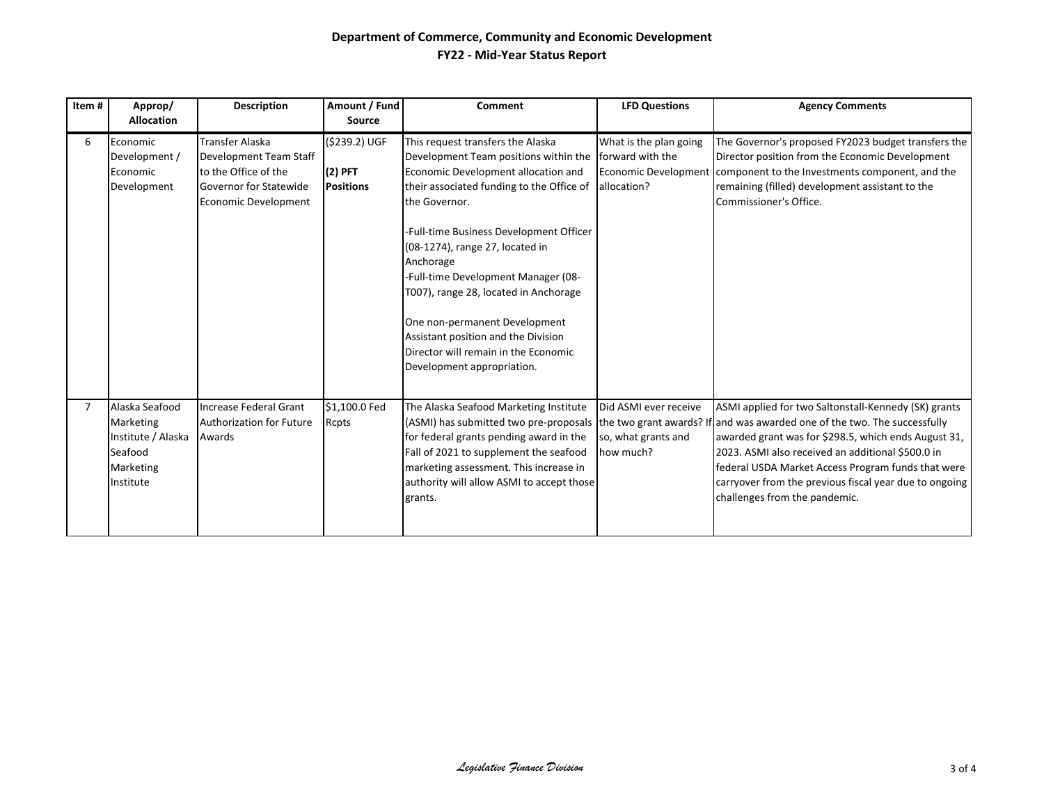| Item# | Approp/<br><b>Allocation</b>                                                           | <b>Description</b>                                                                                                                       | Amount / Fund<br>Source                        | Comment                                                                                                                                                                                                                       | <b>LFD Questions</b>                                      | <b>Agency Comments</b>                                                                                                                                                                                                                                                                                                                                                                                                                 |
|-------|----------------------------------------------------------------------------------------|------------------------------------------------------------------------------------------------------------------------------------------|------------------------------------------------|-------------------------------------------------------------------------------------------------------------------------------------------------------------------------------------------------------------------------------|-----------------------------------------------------------|----------------------------------------------------------------------------------------------------------------------------------------------------------------------------------------------------------------------------------------------------------------------------------------------------------------------------------------------------------------------------------------------------------------------------------------|
| 6     | Economic<br>Development /<br>Economic<br>Development                                   | <b>Transfer Alaska</b><br>Development Team Staff<br>to the Office of the<br><b>Governor for Statewide</b><br><b>Economic Development</b> | (\$239.2) UGF<br>$(2)$ PFT<br><b>Positions</b> | This request transfers the Alaska<br>Development Team positions within the<br>Economic Development allocation and<br>their associated funding to the Office of<br>the Governor.                                               | What is the plan going<br>forward with the<br>allocation? | The Governor's proposed FY2023 budget transfers the<br>Director position from the Economic Development<br>Economic Development component to the Investments component, and the<br>remaining (filled) development assistant to the<br>Commissioner's Office.                                                                                                                                                                            |
|       |                                                                                        |                                                                                                                                          |                                                | -Full-time Business Development Officer<br>(08-1274), range 27, located in<br>Anchorage<br>-Full-time Development Manager (08-<br>T007), range 28, located in Anchorage                                                       |                                                           |                                                                                                                                                                                                                                                                                                                                                                                                                                        |
|       |                                                                                        |                                                                                                                                          |                                                | One non-permanent Development<br>Assistant position and the Division<br>Director will remain in the Economic<br>Development appropriation.                                                                                    |                                                           |                                                                                                                                                                                                                                                                                                                                                                                                                                        |
|       | Alaska Seafood<br>Marketing<br>Institute / Alaska<br>Seafood<br>Marketing<br>Institute | Increase Federal Grant<br>Authorization for Future<br>Awards                                                                             | \$1,100.0 Fed<br><b>Rcpts</b>                  | The Alaska Seafood Marketing Institute<br>for federal grants pending award in the<br>Fall of 2021 to supplement the seafood<br>marketing assessment. This increase in<br>authority will allow ASMI to accept those<br>grants. | Did ASMI ever receive<br>so, what grants and<br>how much? | ASMI applied for two Saltonstall-Kennedy (SK) grants<br>(ASMI) has submitted two pre-proposals the two grant awards? If and was awarded one of the two. The successfully<br>awarded grant was for \$298.5, which ends August 31,<br>2023. ASMI also received an additional \$500.0 in<br>federal USDA Market Access Program funds that were<br>carryover from the previous fiscal year due to ongoing<br>challenges from the pandemic. |